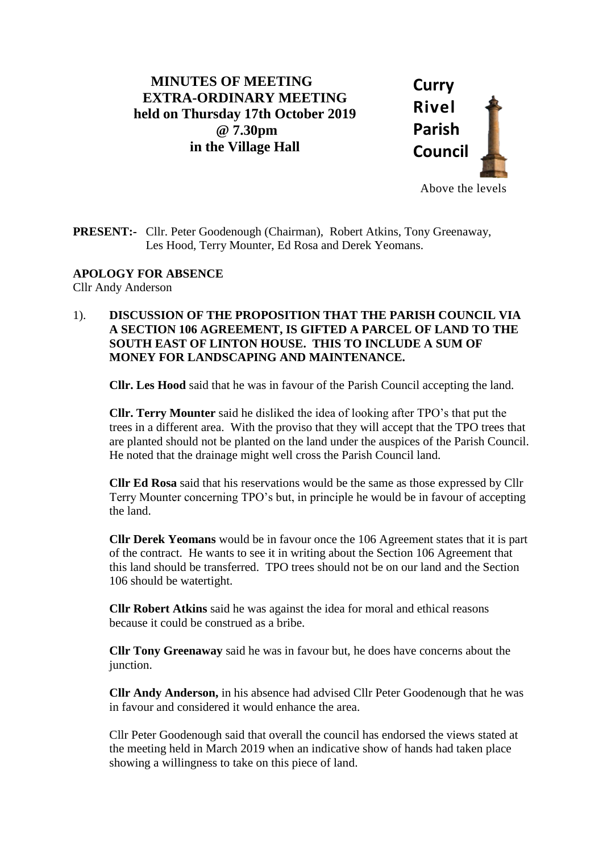## **MINUTES OF MEETING EXTRA-ORDINARY MEETING held on Thursday 17th October 2019 @ 7.30pm in the Village Hall**



**PRESENT:-** Cllr. Peter Goodenough (Chairman), Robert Atkins, Tony Greenaway, Les Hood, Terry Mounter, Ed Rosa and Derek Yeomans.

**APOLOGY FOR ABSENCE**

Cllr Andy Anderson

1). **DISCUSSION OF THE PROPOSITION THAT THE PARISH COUNCIL VIA A SECTION 106 AGREEMENT, IS GIFTED A PARCEL OF LAND TO THE SOUTH EAST OF LINTON HOUSE. THIS TO INCLUDE A SUM OF MONEY FOR LANDSCAPING AND MAINTENANCE.** 

**Cllr. Les Hood** said that he was in favour of the Parish Council accepting the land.

**Cllr. Terry Mounter** said he disliked the idea of looking after TPO's that put the trees in a different area. With the proviso that they will accept that the TPO trees that are planted should not be planted on the land under the auspices of the Parish Council. He noted that the drainage might well cross the Parish Council land.

**Cllr Ed Rosa** said that his reservations would be the same as those expressed by Cllr Terry Mounter concerning TPO's but, in principle he would be in favour of accepting the land.

**Cllr Derek Yeomans** would be in favour once the 106 Agreement states that it is part of the contract. He wants to see it in writing about the Section 106 Agreement that this land should be transferred. TPO trees should not be on our land and the Section 106 should be watertight.

**Cllr Robert Atkins** said he was against the idea for moral and ethical reasons because it could be construed as a bribe.

**Cllr Tony Greenaway** said he was in favour but, he does have concerns about the junction.

**Cllr Andy Anderson,** in his absence had advised Cllr Peter Goodenough that he was in favour and considered it would enhance the area.

Cllr Peter Goodenough said that overall the council has endorsed the views stated at the meeting held in March 2019 when an indicative show of hands had taken place showing a willingness to take on this piece of land.